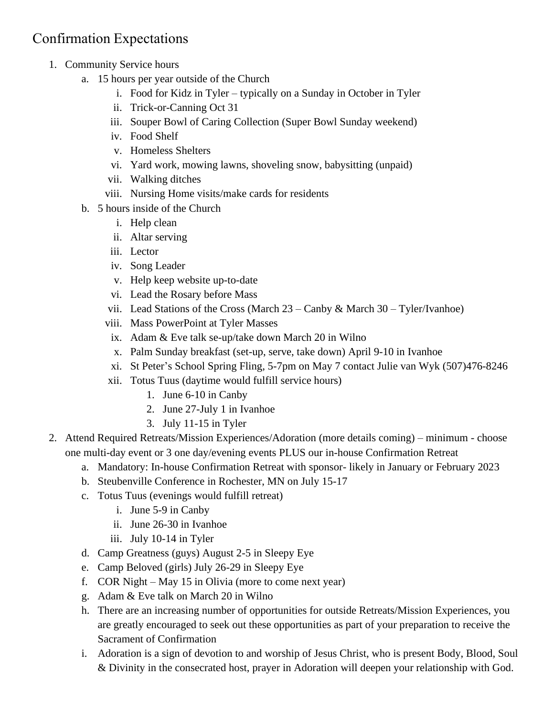## Confirmation Expectations

- 1. Community Service hours
	- a. 15 hours per year outside of the Church
		- i. Food for Kidz in Tyler typically on a Sunday in October in Tyler
		- ii. Trick-or-Canning Oct 31
		- iii. Souper Bowl of Caring Collection (Super Bowl Sunday weekend)
		- iv. Food Shelf
		- v. Homeless Shelters
		- vi. Yard work, mowing lawns, shoveling snow, babysitting (unpaid)
		- vii. Walking ditches
		- viii. Nursing Home visits/make cards for residents
	- b. 5 hours inside of the Church
		- i. Help clean
		- ii. Altar serving
		- iii. Lector
		- iv. Song Leader
		- v. Help keep website up-to-date
		- vi. Lead the Rosary before Mass
		- vii. Lead Stations of the Cross (March  $23 -$ Canby & March  $30 -$ Tyler/Ivanhoe)
		- viii. Mass PowerPoint at Tyler Masses
		- ix. Adam & Eve talk se-up/take down March 20 in Wilno
		- x. Palm Sunday breakfast (set-up, serve, take down) April 9-10 in Ivanhoe
		- xi. St Peter's School Spring Fling, 5-7pm on May 7 contact Julie van Wyk (507)476-8246
		- xii. Totus Tuus (daytime would fulfill service hours)
			- 1. June 6-10 in Canby
			- 2. June 27-July 1 in Ivanhoe
			- 3. July 11-15 in Tyler
- 2. Attend Required Retreats/Mission Experiences/Adoration (more details coming) minimum choose one multi-day event or 3 one day/evening events PLUS our in-house Confirmation Retreat
	- a. Mandatory: In-house Confirmation Retreat with sponsor- likely in January or February 2023
	- b. Steubenville Conference in Rochester, MN on July 15-17
	- c. Totus Tuus (evenings would fulfill retreat)
		- i. June 5-9 in Canby
		- ii. June 26-30 in Ivanhoe
		- iii. July 10-14 in Tyler
	- d. Camp Greatness (guys) August 2-5 in Sleepy Eye
	- e. Camp Beloved (girls) July 26-29 in Sleepy Eye
	- f. COR Night May 15 in Olivia (more to come next year)
	- g. Adam & Eve talk on March 20 in Wilno
	- h. There are an increasing number of opportunities for outside Retreats/Mission Experiences, you are greatly encouraged to seek out these opportunities as part of your preparation to receive the Sacrament of Confirmation
	- i. Adoration is a sign of devotion to and worship of Jesus Christ, who is present Body, Blood, Soul & Divinity in the consecrated host, prayer in Adoration will deepen your relationship with God.